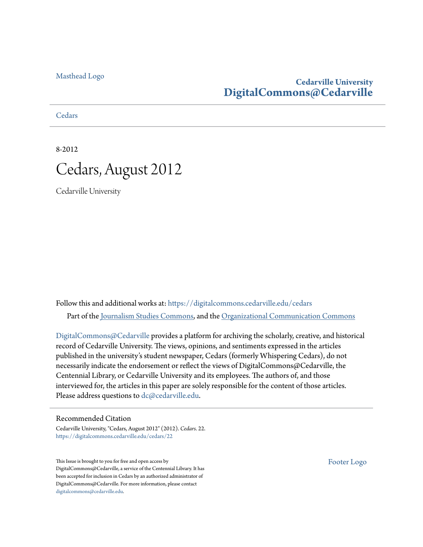[Masthead Logo](http://www.cedarville.edu/?utm_source=digitalcommons.cedarville.edu%2Fcedars%2F22&utm_medium=PDF&utm_campaign=PDFCoverPages)

#### **Cedarville University [DigitalCommons@Cedarville](https://digitalcommons.cedarville.edu?utm_source=digitalcommons.cedarville.edu%2Fcedars%2F22&utm_medium=PDF&utm_campaign=PDFCoverPages)**

**[Cedars](https://digitalcommons.cedarville.edu/cedars?utm_source=digitalcommons.cedarville.edu%2Fcedars%2F22&utm_medium=PDF&utm_campaign=PDFCoverPages)** 

8-2012



Cedarville University

Follow this and additional works at: [https://digitalcommons.cedarville.edu/cedars](https://digitalcommons.cedarville.edu/cedars?utm_source=digitalcommons.cedarville.edu%2Fcedars%2F22&utm_medium=PDF&utm_campaign=PDFCoverPages) Part of the [Journalism Studies Commons](http://network.bepress.com/hgg/discipline/333?utm_source=digitalcommons.cedarville.edu%2Fcedars%2F22&utm_medium=PDF&utm_campaign=PDFCoverPages), and the [Organizational Communication Commons](http://network.bepress.com/hgg/discipline/335?utm_source=digitalcommons.cedarville.edu%2Fcedars%2F22&utm_medium=PDF&utm_campaign=PDFCoverPages)

[DigitalCommons@Cedarville](http://digitalcommons.cedarville.edu/) provides a platform for archiving the scholarly, creative, and historical record of Cedarville University. The views, opinions, and sentiments expressed in the articles published in the university's student newspaper, Cedars (formerly Whispering Cedars), do not necessarily indicate the endorsement or reflect the views of DigitalCommons@Cedarville, the Centennial Library, or Cedarville University and its employees. The authors of, and those interviewed for, the articles in this paper are solely responsible for the content of those articles. Please address questions to [dc@cedarville.edu.](mailto:dc@cedarville.edu)

#### Recommended Citation

Cedarville University, "Cedars, August 2012" (2012). *Cedars*. 22. [https://digitalcommons.cedarville.edu/cedars/22](https://digitalcommons.cedarville.edu/cedars/22?utm_source=digitalcommons.cedarville.edu%2Fcedars%2F22&utm_medium=PDF&utm_campaign=PDFCoverPages)

This Issue is brought to you for free and open access by DigitalCommons@Cedarville, a service of the Centennial Library. It has been accepted for inclusion in Cedars by an authorized administrator of DigitalCommons@Cedarville. For more information, please contact [digitalcommons@cedarville.edu](mailto:digitalcommons@cedarville.edu).

[Footer Logo](http://www.cedarville.edu/Academics/Library.aspx?utm_source=digitalcommons.cedarville.edu%2Fcedars%2F22&utm_medium=PDF&utm_campaign=PDFCoverPages)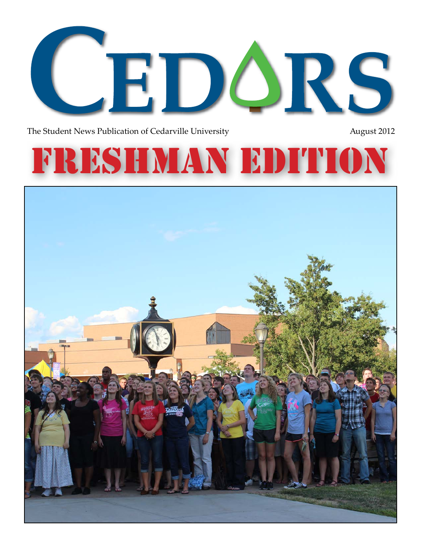

The Student News Publication of Cedarville University **August 2012** August 2012

# FRESHMAN ED

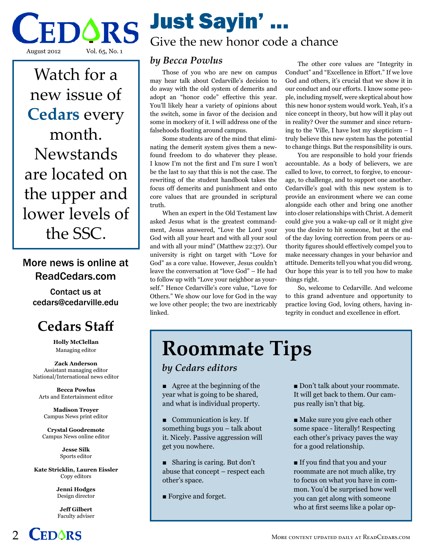DÓRS August 2012 Vol. 65, No. 1

Watch for a new issue of **Cedars** every month. **Newstands** are located on the upper and lower levels of the SSC.

#### More news is online at ReadCedars.com

Contact us at cedars@cedarville.edu

### **Cedars Staff**

**Holly McClellan** Managing editor

**Zack Anderson** Assistant managing editor National/International news editor

**Becca Powlus** Arts and Entertainment editor

**Madison Troyer** Campus News print editor

**Crystal Goodremote** Campus News online editor

> **Jesse Silk** Sports editor

**Kate Stricklin, Lauren Eissler** Copy editors

> **Jenni Hodges** Design director

**Jeff Gilbert** Faculty adviser



## Just Sayin' ...

### Give the new honor code a chance

#### *by Becca Powlus*

Those of you who are new on campus may hear talk about Cedarville's decision to do away with the old system of demerits and adopt an "honor code" effective this year. You'll likely hear a variety of opinions about the switch, some in favor of the decision and some in mockery of it. I will address one of the falsehoods floating around campus.

Some students are of the mind that eliminating the demerit system gives them a newfound freedom to do whatever they please. I know I'm not the first and I'm sure I won't be the last to say that this is not the case. The rewriting of the student handbook takes the focus off demerits and punishment and onto core values that are grounded in scriptural truth.

When an expert in the Old Testament law asked Jesus what is the greatest commandment, Jesus answered, "Love the Lord your God with all your heart and with all your soul and with all your mind" (Matthew 22:37). Our university is right on target with "Love for God" as a core value. However, Jesus couldn't leave the conversation at "love God" – He had to follow up with "Love your neighbor as yourself." Hence Cedarville's core value, "Love for Others." We show our love for God in the way we love other people; the two are inextricably linked.

The other core values are "Integrity in Conduct" and "Excellence in Effort." If we love God and others, it's crucial that we show it in our conduct and our efforts. I know some people, including myself, were skeptical about how this new honor system would work. Yeah, it's a nice concept in theory, but how will it play out in reality? Over the summer and since returning to the 'Ville, I have lost my skepticism – I truly believe this new system has the potential to change things. But the responsibility is ours.

You are responsible to hold your friends accountable. As a body of believers, we are called to love, to correct, to forgive, to encourage, to challenge, and to support one another. Cedarville's goal with this new system is to provide an environment where we can come alongside each other and bring one another into closer relationships with Christ. A demerit could give you a wake-up call or it might give you the desire to hit someone, but at the end of the day loving correction from peers or authority figures should effectively compel you to make necessary changes in your behavior and attitude. Demerits tell you what you did wrong. Our hope this year is to tell you how to make things right.

So, welcome to Cedarville. And welcome to this grand adventure and opportunity to practice loving God, loving others, having integrity in conduct and excellence in effort.

### **Roommate Tips**

*by Cedars editors*

 $\blacksquare$  Agree at the beginning of the year what is going to be shared, and what is individual property.

- $\blacksquare$  Communication is key. If something bugs you – talk about it. Nicely. Passive aggression will get you nowhere.
- $\blacksquare$  Sharing is caring. But don't abuse that concept – respect each other's space.
- Forgive and forget.

Don't talk about your roommate. It will get back to them. Our campus really isn't that big.

- Make sure you give each other some space - literally! Respecting each other's privacy paves the way for a good relationship.
- n If you find that you and your roommate are not much alike, try to focus on what you have in common. You'd be surprised how well you can get along with someone who at first seems like a polar op-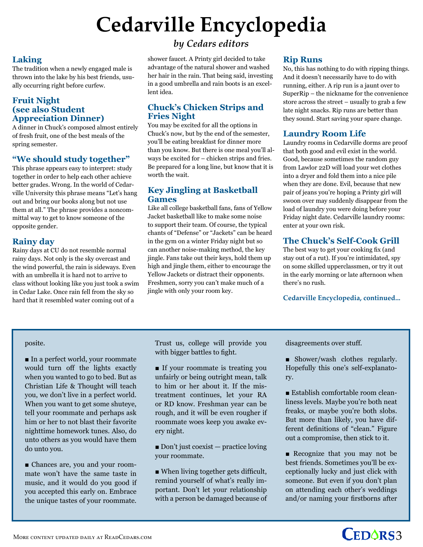## **Cedarville Encyclopedia**

#### **Laking**

The tradition when a newly engaged male is thrown into the lake by his best friends, usually occurring right before curfew.

#### **Fruit Night (see also Student Appreciation Dinner)**

A dinner in Chuck's composed almost entirely of fresh fruit, one of the best meals of the spring semester.

#### **"We should study together"**

This phrase appears easy to interpret: study together in order to help each other achieve better grades. Wrong. In the world of Cedarville University this phrase means "Let's hang out and bring our books along but not use them at all." The phrase provides a noncommittal way to get to know someone of the opposite gender.

#### **Rainy day**

Rainy days at CU do not resemble normal rainy days. Not only is the sky overcast and the wind powerful, the rain is sideways. Even with an umbrella it is hard not to arrive to class without looking like you just took a swim in Cedar Lake. Once rain fell from the sky so hard that it resembled water coming out of a

#### *by Cedars editors*

shower faucet. A Printy girl decided to take advantage of the natural shower and washed her hair in the rain. That being said, investing in a good umbrella and rain boots is an excellent idea.

#### **Chuck's Chicken Strips and Fries Night**

You may be excited for all the options in Chuck's now, but by the end of the semester, you'll be eating breakfast for dinner more than you know. But there is one meal you'll always be excited for – chicken strips and fries. Be prepared for a long line, but know that it is worth the wait.

#### **Key Jingling at Basketball Games**

Like all college basketball fans, fans of Yellow Jacket basketball like to make some noise to support their team. Of course, the typical chants of "Defense" or "Jackets" can be heard in the gym on a winter Friday night but so can another noise-making method, the key jingle. Fans take out their keys, hold them up high and jingle them, either to encourage the Yellow Jackets or distract their opponents. Freshmen, sorry you can't make much of a jingle with only your room key.

#### **Rip Runs**

No, this has nothing to do with ripping things. And it doesn't necessarily have to do with running, either. A rip run is a jaunt over to SuperRip – the nickname for the convenience store across the street – usually to grab a few late night snacks. Rip runs are better than they sound. Start saving your spare change.

#### **Laundry Room Life**

Laundry rooms in Cedarville dorms are proof that both good and evil exist in the world. Good, because sometimes the random guy from Lawlor 22D will load your wet clothes into a dryer and fold them into a nice pile when they are done. Evil, because that new pair of jeans you're hoping a Printy girl will swoon over may suddenly disappear from the load of laundry you were doing before your Friday night date. Cedarville laundry rooms: enter at your own risk.

#### **The Chuck's Self-Cook Grill**

The best way to get your cooking fix (and stay out of a rut). If you're intimidated, spy on some skilled upperclassmen, or try it out in the early morning or late afternoon when there's no rush.

#### **Cedarville Encyclopedia, continued...**

### posite.

In a perfect world, your roommate would turn off the lights exactly when you wanted to go to bed. But as Christian Life & Thought will teach you, we don't live in a perfect world. When you want to get some shuteye, tell your roommate and perhaps ask him or her to not blast their favorite nighttime homework tunes. Also, do unto others as you would have them do unto you.

n Chances are, you and your roommate won't have the same taste in music, and it would do you good if you accepted this early on. Embrace the unique tastes of your roommate.

Trust us, college will provide you with bigger battles to fight.

If your roommate is treating you unfairly or being outright mean, talk to him or her about it. If the mistreatment continues, let your RA or RD know. Freshman year can be rough, and it will be even rougher if roommate woes keep you awake every night.

 $\blacksquare$  Don't just coexist — practice loving your roommate.

 $\blacksquare$  When living together gets difficult, remind yourself of what's really important. Don't let your relationship with a person be damaged because of disagreements over stuff.

 $\blacksquare$  Shower/wash clothes regularly. Hopefully this one's self-explanatory.

 $\blacksquare$  Establish comfortable room cleanliness levels. Maybe you're both neat freaks, or maybe you're both slobs. But more than likely, you have different definitions of "clean." Figure out a compromise, then stick to it.

**n** Recognize that you may not be best friends. Sometimes you'll be exceptionally lucky and just click with someone. But even if you don't plan on attending each other's weddings and/or naming your firstborns after